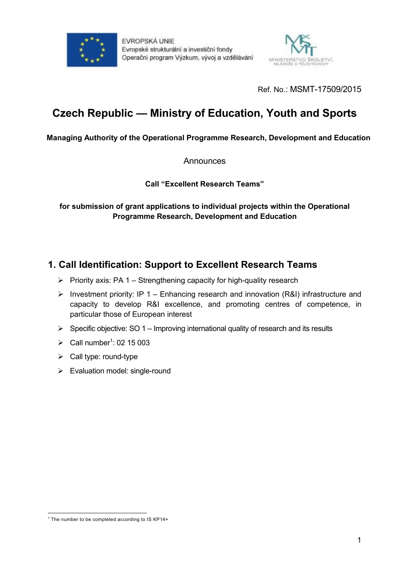

EVROPSKÁ UNIE Evropské strukturální a investiční fondy Operační program Výzkum, vývoj a vzdělávání



Ref. No.: MSMT-17509/2015

# **Czech Republic — Ministry of Education, Youth and Sports**

#### **Managing Authority of the Operational Programme Research, Development and Education**

**Announces** 

**Call "Excellent Research Teams"**

**for submission of grant applications to individual projects within the Operational Programme Research, Development and Education**

# **1. Call Identification: Support to Excellent Research Teams**

- $\triangleright$  Priority axis: PA 1 Strengthening capacity for high-quality research
- $\triangleright$  Investment priority: IP 1 Enhancing research and innovation (R&I) infrastructure and capacity to develop R&I excellence, and promoting centres of competence, in particular those of European interest
- $\triangleright$  Specific objective: SO 1 Improving international quality of research and its results
- $\triangleright$  Call number<sup>1</sup>: 02 15 003
- $\triangleright$  Call type: round-type
- $\triangleright$  Evaluation model: single-round

l <sup>1</sup> The number to be completed according to IS KP14+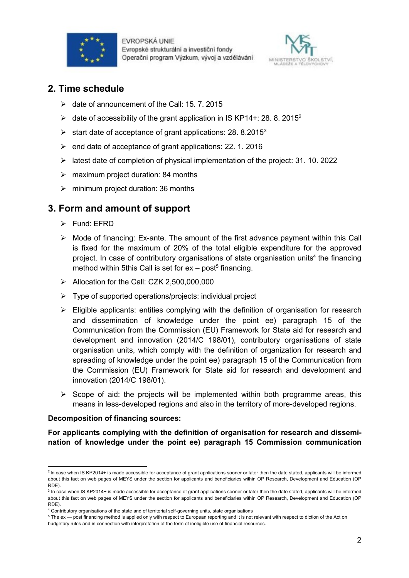



### **2. Time schedule**

- $\geq$  date of announcement of the Call: 15. 7. 2015
- $\geq$  date of accessibility of the grant application in IS KP14+: 28. 8. 2015<sup>2</sup>
- $\geq$  start date of acceptance of grant applications: 28. 8.2015<sup>3</sup>
- $\ge$  end date of acceptance of grant applications: 22. 1. 2016
- $\triangleright$  latest date of completion of physical implementation of the project: 31. 10. 2022
- $\triangleright$  maximum project duration: 84 months
- $\triangleright$  minimum project duration: 36 months

## **3. Form and amount of support**

- Fund: FFRD
- $\triangleright$  Mode of financing: Ex-ante. The amount of the first advance payment within this Call is fixed for the maximum of 20% of the total eligible expenditure for the approved project. In case of contributory organisations of state organisation units<sup>4</sup> the financing method within 5this Call is set for  $ex - post<sup>5</sup>$  financing.
- Allocation for the Call: CZK 2,500,000,000
- $\triangleright$  Type of supported operations/projects: individual project
- $\triangleright$  Eligible applicants: entities complying with the definition of organisation for research and dissemination of knowledge under the point ee) paragraph 15 of the Communication from the Commission (EU) Framework for State aid for research and development and innovation (2014/C 198/01), contributory organisations of state organisation units, which comply with the definition of organization for research and spreading of knowledge under the point ee) paragraph 15 of the Communication from the Commission (EU) Framework for State aid for research and development and innovation (2014/C 198/01).
- $\triangleright$  Scope of aid: the projects will be implemented within both programme areas, this means in less-developed regions and also in the territory of more-developed regions.

#### **Decomposition of financing sources:**

**For applicants complying with the definition of organisation for research and dissemination of knowledge under the point ee) paragraph 15 Commission communication**

l <sup>2</sup> In case when IS KP2014+ is made accessible for acceptance of grant applications sooner or later then the date stated, applicants will be informed about this fact on web pages of MEYS under the section for applicants and beneficiaries within OP Research, Development and Education (OP RDE).

<sup>&</sup>lt;sup>3</sup> In case when IS KP2014+ is made accessible for acceptance of grant applications sooner or later then the date stated, applicants will be informed about this fact on web pages of MEYS under the section for applicants and beneficiaries within OP Research, Development and Education (OP RDE).

<sup>4</sup> Contributory organisations of the state and of territorial self-governing units, state organisations

<sup>5</sup> The ex — post financing method is applied only with respect to European reporting and it is not relevant with respect to diction of the Act on

budgetary rules and in connection with interpretation of the term of ineligible use of financial resources.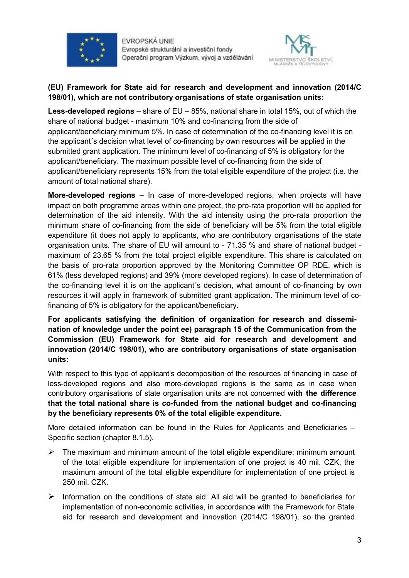

EVROPSKÁ UNIE Evropské strukturální a investiční fondy Operačni program Výzkum, vývoj a vzdělávání



#### **(EU) Framework for State aid for research and development and innovation (2014/C 198/01), which are not contributory organisations of state organisation units:**

**Less-developed regions** – share of EU – 85%, national share in total 15%, out of which the share of national budget - maximum 10% and co-financing from the side of applicant/beneficiary minimum 5%. In case of determination of the co-financing level it is on the applicant´s decision what level of co-financing by own resources will be applied in the submitted grant application. The minimum level of co-financing of 5% is obligatory for the applicant/beneficiary. The maximum possible level of co-financing from the side of applicant/beneficiary represents 15% from the total eligible expenditure of the project (i.e. the amount of total national share).

**More-developed regions** – In case of more-developed regions, when projects will have impact on both programme areas within one project, the pro-rata proportion will be applied for determination of the aid intensity. With the aid intensity using the pro-rata proportion the minimum share of co-financing from the side of beneficiary will be 5% from the total eligible expenditure (it does not apply to applicants, who are contributory organisations of the state organisation units. The share of EU will amount to - 71.35 % and share of national budget maximum of 23.65 % from the total project eligible expenditure. This share is calculated on the basis of pro-rata proportion approved by the Monitoring Committee OP RDE, which is 61% (less developed regions) and 39% (more developed regions). In case of determination of the co-financing level it is on the applicant´s decision, what amount of co-financing by own resources it will apply in framework of submitted grant application. The minimum level of cofinancing of 5% is obligatory for the applicant/beneficiary.

**For applicants satisfying the definition of organization for research and dissemination of knowledge under the point ee) paragraph 15 of the Communication from the Commission (EU) Framework for State aid for research and development and innovation (2014/C 198/01), who are contributory organisations of state organisation units:**

With respect to this type of applicant's decomposition of the resources of financing in case of less-developed regions and also more-developed regions is the same as in case when contributory organisations of state organisation units are not concerned **with the difference that the total national share is co-funded from the national budget and co-financing by the beneficiary represents 0% of the total eligible expenditure.**

More detailed information can be found in the Rules for Applicants and Beneficiaries – Specific section (chapter 8.1.5).

- $\triangleright$  The maximum and minimum amount of the total eligible expenditure: minimum amount of the total eligible expenditure for implementation of one project is 40 mil. CZK, the maximum amount of the total eligible expenditure for implementation of one project is 250 mil. CZK.
- $\triangleright$  Information on the conditions of state aid: All aid will be granted to beneficiaries for implementation of non-economic activities, in accordance with the Framework for State aid for research and development and innovation (2014/C 198/01), so the granted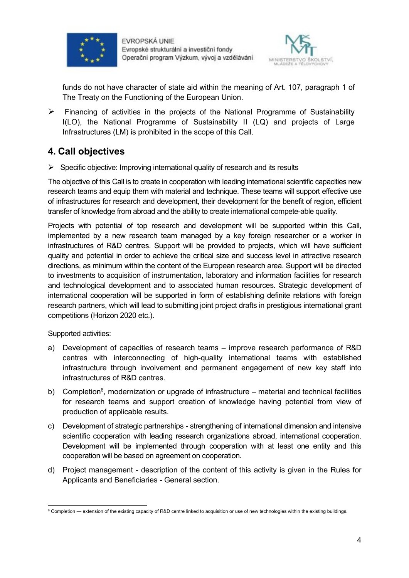



funds do not have character of state aid within the meaning of Art. 107, paragraph 1 of The Treaty on the Functioning of the European Union.

 $\triangleright$  Financing of activities in the projects of the National Programme of Sustainability I(LO), the National Programme of Sustainability II (LQ) and projects of Large Infrastructures (LM) is prohibited in the scope of this Call.

# **4. Call objectives**

 $\triangleright$  Specific objective: Improving international quality of research and its results

The objective of this Call is to create in cooperation with leading international scientific capacities new research teams and equip them with material and technique. These teams will support effective use of infrastructures for research and development, their development for the benefit of region, efficient transfer of knowledge from abroad and the ability to create international compete-able quality.

Projects with potential of top research and development will be supported within this Call, implemented by a new research team managed by a key foreign researcher or a worker in infrastructures of R&D centres. Support will be provided to projects, which will have sufficient quality and potential in order to achieve the critical size and success level in attractive research directions, as minimum within the content of the European research area. Support will be directed to investments to acquisition of instrumentation, laboratory and information facilities for research and technological development and to associated human resources. Strategic development of international cooperation will be supported in form of establishing definite relations with foreign research partners, which will lead to submitting joint project drafts in prestigious international grant competitions (Horizon 2020 etc.).

Supported activities:

- a) Development of capacities of research teams improve research performance of R&D centres with interconnecting of high-quality international teams with established infrastructure through involvement and permanent engagement of new key staff into infrastructures of R&D centres.
- b) Completion<sup>6</sup>, modernization or upgrade of infrastructure material and technical facilities for research teams and support creation of knowledge having potential from view of production of applicable results.
- c) Development of strategic partnerships strengthening of international dimension and intensive scientific cooperation with leading research organizations abroad, international cooperation. Development will be implemented through cooperation with at least one entity and this cooperation will be based on agreement on cooperation.
- d) Project management description of the content of this activity is given in the Rules for Applicants and Beneficiaries - General section.

l 6 Completion — extension of the existing capacity of R&D centre linked to acquisition or use of new technologies within the existing buildings.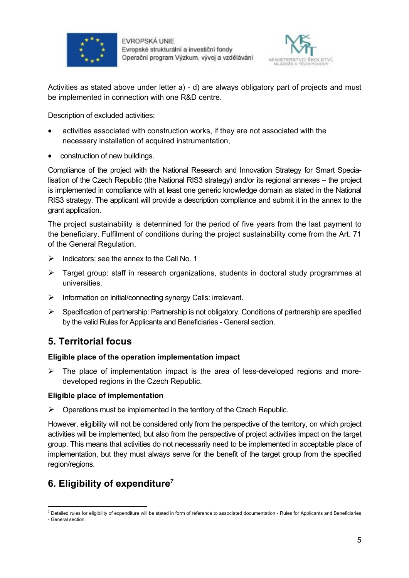



Activities as stated above under letter a) - d) are always obligatory part of projects and must be implemented in connection with one R&D centre.

Description of excluded activities:

- activities associated with construction works, if they are not associated with the necessary installation of acquired instrumentation,
- construction of new buildings.

Compliance of the project with the National Research and Innovation Strategy for Smart Specialisation of the Czech Republic (the National RIS3 strategy) and/or its regional annexes – the project is implemented in compliance with at least one generic knowledge domain as stated in the National RIS3 strategy. The applicant will provide a description compliance and submit it in the annex to the grant application.

The project sustainability is determined for the period of five years from the last payment to the beneficiary. Fulfilment of conditions during the project sustainability come from the Art. 71 of the General Regulation.

- $\triangleright$  Indicators: see the annex to the Call No. 1
- $\triangleright$  Target group: staff in research organizations, students in doctoral study programmes at universities.
- $\triangleright$  Information on initial/connecting synergy Calls: irrelevant.
- $\triangleright$  Specification of partnership: Partnership is not obligatory. Conditions of partnership are specified by the valid Rules for Applicants and Beneficiaries - General section.

## **5. Territorial focus**

#### **Eligible place of the operation implementation impact**

 $\triangleright$  The place of implementation impact is the area of less-developed regions and moredeveloped regions in the Czech Republic.

#### **Eligible place of implementation**

 $\triangleright$  Operations must be implemented in the territory of the Czech Republic.

However, eligibility will not be considered only from the perspective of the territory, on which project activities will be implemented, but also from the perspective of project activities impact on the target group. This means that activities do not necessarily need to be implemented in acceptable place of implementation, but they must always serve for the benefit of the target group from the specified region/regions.

# **6. Eligibility of expenditure<sup>7</sup>**

l <sup>7</sup> Detailed rules for eligibility of expenditure will be stated in form of reference to associated documentation - Rules for Applicants and Beneficiaries - General section.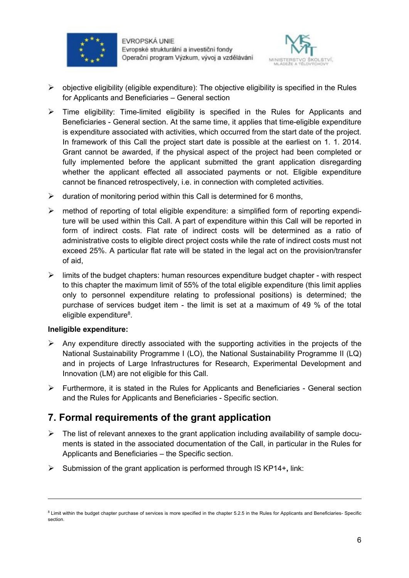



- $\triangleright$  objective eligibility (eligible expenditure): The objective eligibility is specified in the Rules for Applicants and Beneficiaries – General section
- $\triangleright$  Time eligibility: Time-limited eligibility is specified in the Rules for Applicants and Beneficiaries - General section. At the same time, it applies that time-eligible expenditure is expenditure associated with activities, which occurred from the start date of the project. In framework of this Call the project start date is possible at the earliest on 1. 1. 2014. Grant cannot be awarded, if the physical aspect of the project had been completed or fully implemented before the applicant submitted the grant application disregarding whether the applicant effected all associated payments or not. Eligible expenditure cannot be financed retrospectively, i.e. in connection with completed activities.
- $\triangleright$  duration of monitoring period within this Call is determined for 6 months,
- $\triangleright$  method of reporting of total eligible expenditure: a simplified form of reporting expenditure will be used within this Call. A part of expenditure within this Call will be reported in form of indirect costs. Flat rate of indirect costs will be determined as a ratio of administrative costs to eligible direct project costs while the rate of indirect costs must not exceed 25%. A particular flat rate will be stated in the legal act on the provision/transfer of aid,
- $\triangleright$  limits of the budget chapters: human resources expenditure budget chapter with respect to this chapter the maximum limit of 55% of the total eligible expenditure (this limit applies only to personnel expenditure relating to professional positions) is determined; the purchase of services budget item - the limit is set at a maximum of 49 % of the total eligible expenditure<sup>8</sup>.

#### **Ineligible expenditure:**

l

- $\triangleright$  Any expenditure directly associated with the supporting activities in the projects of the National Sustainability Programme I (LO), the National Sustainability Programme II (LQ) and in projects of Large Infrastructures for Research, Experimental Development and Innovation (LM) are not eligible for this Call.
- $\triangleright$  Furthermore, it is stated in the Rules for Applicants and Beneficiaries General section and the Rules for Applicants and Beneficiaries - Specific section.

# **7. Formal requirements of the grant application**

- $\triangleright$  The list of relevant annexes to the grant application including availability of sample documents is stated in the associated documentation of the Call, in particular in the Rules for Applicants and Beneficiaries – the Specific section.
- Submission of the grant application is performed through IS KP14+**,** link:

<sup>&</sup>lt;sup>8</sup> Limit within the budget chapter purchase of services is more specified in the chapter 5.2.5 in the Rules for Applicants and Beneficiaries- Specific section.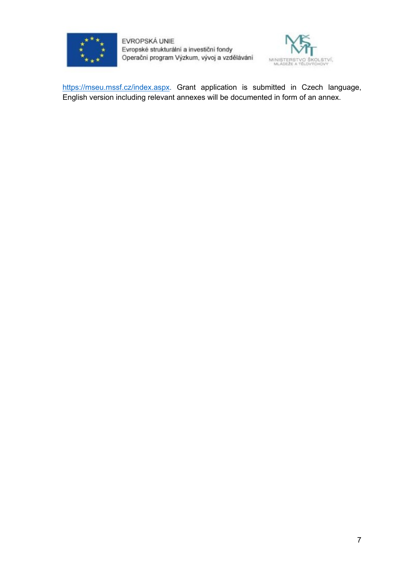

EVROPSKÁ UNIE Evropské strukturální a investiční fondy Operační program Výzkum, vývoj a vzdělávání



https://mseu.mssf.cz/index.aspx. Grant application is submitted in Czech language, English version including relevant annexes will be documented in form of an annex.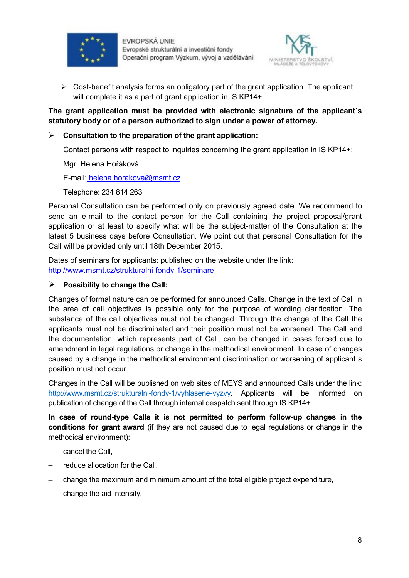



 $\triangleright$  Cost-benefit analysis forms an obligatory part of the grant application. The applicant will complete it as a part of grant application in IS KP14+.

**The grant application must be provided with electronic signature of the applicant´s statutory body or of a person authorized to sign under a power of attorney.**

#### **Consultation to the preparation of the grant application:**

Contact persons with respect to inquiries concerning the grant application in IS KP14+:

Mgr. Helena Hořáková

E-mail: helena.horakova@msmt.cz

Telephone: 234 814 263

Personal Consultation can be performed only on previously agreed date. We recommend to send an e-mail to the contact person for the Call containing the project proposal/grant application or at least to specify what will be the subject-matter of the Consultation at the latest 5 business days before Consultation. We point out that personal Consultation for the Call will be provided only until 18th December 2015.

Dates of seminars for applicants: published on the website under the link: http://www.msmt.cz/strukturalni-fondy-1/seminare

#### **Possibility to change the Call:**

Changes of formal nature can be performed for announced Calls. Change in the text of Call in the area of call objectives is possible only for the purpose of wording clarification. The substance of the call objectives must not be changed. Through the change of the Call the applicants must not be discriminated and their position must not be worsened. The Call and the documentation, which represents part of Call, can be changed in cases forced due to amendment in legal regulations or change in the methodical environment. In case of changes caused by a change in the methodical environment discrimination or worsening of applicant´s position must not occur.

Changes in the Call will be published on web sites of MEYS and announced Calls under the link: http://www.msmt.cz/strukturalni-fondy-1/vyhlasene-vyzvy. Applicants will be informed on publication of change of the Call through internal despatch sent through IS KP14+.

**In case of round-type Calls it is not permitted to perform follow-up changes in the conditions for grant award** (if they are not caused due to legal regulations or change in the methodical environment):

- cancel the Call,
- reduce allocation for the Call.
- change the maximum and minimum amount of the total eligible project expenditure,
- change the aid intensity,